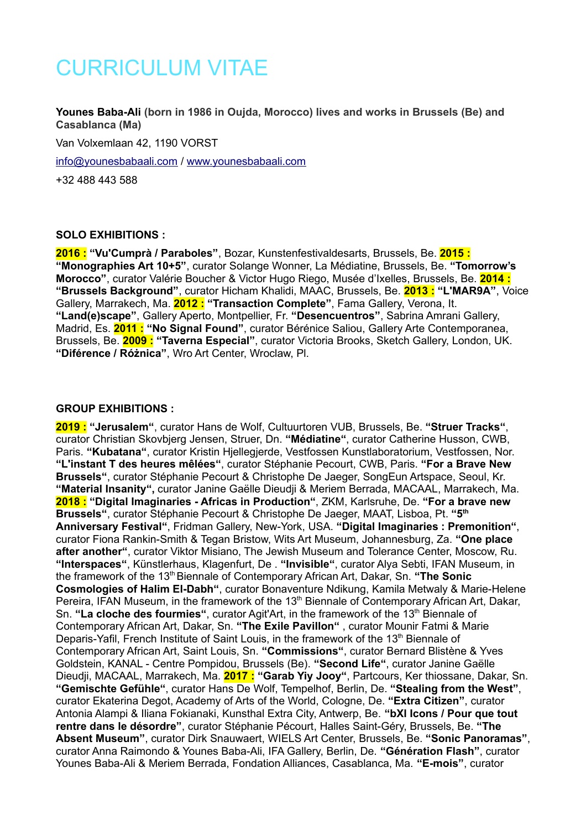# CURRICULUM VITAE

# **Younes Baba-Ali (born in 1986 in Oujda, Morocco) lives and works in Brussels (Be) and Casablanca (Ma)**

Van Volxemlaan 42, 1190 VORST

[info@younesbabaali.com](mailto:info@younesbabaali.com) / [www.younesbabaali.com](http://www.younesbabaali.com/)

+32 488 443 588

#### **SOLO EXHIBITIONS :**

**2016 : "Vu'Cumprà / Paraboles"**, Bozar, Kunstenfestivaldesarts, Brussels, Be. **2015 : "Monographies Art 10+5"**, curator Solange Wonner, La Médiatine, Brussels, Be. **"Tomorrow's Morocco"**, curator Valérie Boucher & Victor Hugo Riego, Musée d'Ixelles, Brussels, Be. **2014 : "Brussels Background"**, curator Hicham Khalidi, MAAC, Brussels, Be. **2013 : "L'MAR9A"**, Voice Gallery, Marrakech, Ma. **2012 : "Transaction Complete"**, Fama Gallery, Verona, It. **"Land(e)scape"**, Gallery Aperto, Montpellier, Fr. **"Desencuentros"**, Sabrina Amrani Gallery, Madrid, Es. **2011 : "No Signal Found"**, curator Bérénice Saliou, Gallery Arte Contemporanea, Brussels, Be. **2009 : "Taverna Especial"**, curator Victoria Brooks, Sketch Gallery, London, UK. **"Diférence / Różnica"**, Wro Art Center, Wroclaw, Pl.

#### **GROUP EXHIBITIONS :**

**2019 : "Jerusalem"**, curator Hans de Wolf, Cultuurtoren VUB, Brussels, Be. **"Struer Tracks"**, curator Christian Skovbjerg Jensen, Struer, Dn. **"Médiatine"**, curator Catherine Husson, CWB, Paris. **"Kubatana"**, curator Kristin Hjellegjerde, Vestfossen Kunstlaboratorium, Vestfossen, Nor. **"L'instant T des heures mêlées"**, curator Stéphanie Pecourt, CWB, Paris. **"For a Brave New Brussels"**, curator Stéphanie Pecourt & Christophe De Jaeger, SongEun Artspace, Seoul, Kr. **"Material Insanity",** curator Janine Gaëlle Dieudji & Meriem Berrada, MACAAL, Marrakech, Ma. **2018 : "Digital Imaginaries - Africas in Production"**, ZKM, Karlsruhe, De. **"For a brave new Brussels"**, curator Stéphanie Pecourt & Christophe De Jaeger, MAAT, Lisboa, Pt. **"5th Anniversary Festival"**, Fridman Gallery, New-York, USA. **"Digital Imaginaries : Premonition"**, curator Fiona Rankin-Smith & Tegan Bristow, Wits Art Museum, Johannesburg, Za. **"One place after another"**, curator Viktor Misiano, The Jewish Museum and Tolerance Center, Moscow, Ru. **"Interspaces"**, Künstlerhaus, Klagenfurt, De . **"Invisible"**, curator Alya Sebti, IFAN Museum, in the framework of the 13<sup>th</sup> Biennale of Contemporary African Art, Dakar, Sn. "The Sonic **Cosmologies of Halim El-Dabh"**, curator Bonaventure Ndikung, Kamila Metwaly & Marie-Helene Pereira, IFAN Museum, in the framework of the 13<sup>th</sup> Biennale of Contemporary African Art, Dakar, Sn. "La cloche des fourmies", curator Agit'Art, in the framework of the 13<sup>th</sup> Biennale of Contemporary African Art, Dakar, Sn. **"The Exile Pavillon"** , curator Mounir Fatmi & Marie Deparis-Yafil, French Institute of Saint Louis, in the framework of the  $13<sup>th</sup>$  Biennale of Contemporary African Art, Saint Louis, Sn. **"Commissions"**, curator Bernard Blistène & Yves Goldstein, KANAL - Centre Pompidou, Brussels (Be). **"Second Life"**, curator Janine Gaëlle Dieudji, MACAAL, Marrakech, Ma. **2017 : "Garab Yiy Jooy"**, Partcours, Ker thiossane, Dakar, Sn. **"Gemischte Gefühle"**, curator Hans De Wolf, Tempelhof, Berlin, De. **"Stealing from the West"**, curator Ekaterina Degot, Academy of Arts of the World, Cologne, De. **"Extra Citizen"**, curator Antonia Alampi & Iliana Fokianaki, Kunsthal Extra City, Antwerp, Be. **"bXl Icons / Pour que tout rentre dans le désordre"**, curator Stéphanie Pécourt, Halles Saint-Géry, Brussels, Be. **"The Absent Museum"**, curator Dirk Snauwaert, WIELS Art Center, Brussels, Be. **"Sonic Panoramas"**, curator Anna Raimondo & Younes Baba-Ali, IFA Gallery, Berlin, De. **"Génération Flash"**, curator Younes Baba-Ali & Meriem Berrada, Fondation Alliances, Casablanca, Ma. **"E-mois"**, curator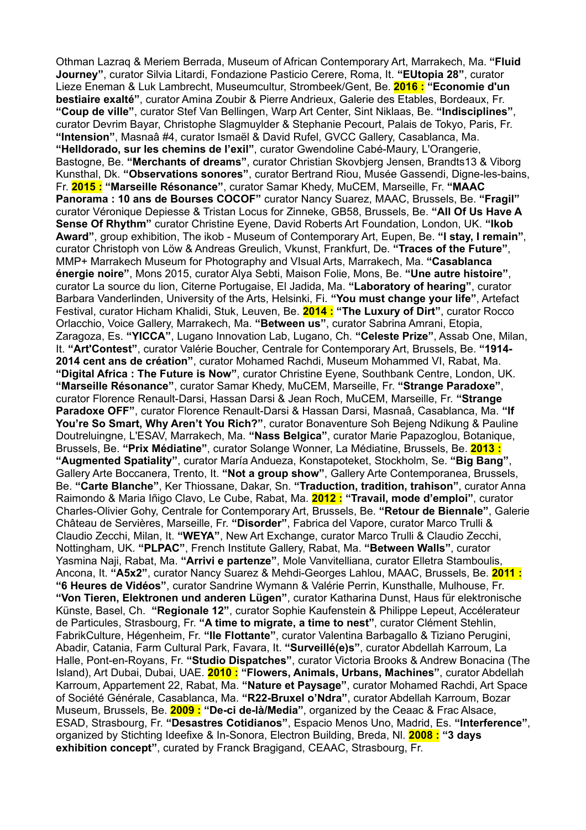Othman Lazraq & Meriem Berrada, Museum of African Contemporary Art, Marrakech, Ma. **"Fluid Journey"**, curator Silvia Litardi, Fondazione Pasticio Cerere, Roma, It. **"EUtopia 28"**, curator Lieze Eneman & Luk Lambrecht, Museumcultur, Strombeek/Gent, Be. **2016 : "Economie d'un bestiaire exalté"**, curator Amina Zoubir & Pierre Andrieux, Galerie des Etables, Bordeaux, Fr. **"Coup de ville"**, curator Stef Van Bellingen, Warp Art Center, Sint Niklaas, Be. **"Indisciplines"**, curator Devrim Bayar, Christophe Slagmuylder & Stephanie Pecourt, Palais de Tokyo, Paris, Fr. **"Intension"**, Masnaâ #4, curator Ismaël & David Rufel, GVCC Gallery, Casablanca, Ma. **"Helldorado, sur les chemins de l'exil"**, curator Gwendoline Cabé-Maury, L'Orangerie, Bastogne, Be. **"Merchants of dreams"**, curator Christian Skovbjerg Jensen, Brandts13 & Viborg Kunsthal, Dk. **"Observations sonores"**, curator Bertrand Riou, Musée Gassendi, Digne-les-bains, Fr. **2015 : "Marseille Résonance"**, curator Samar Khedy, MuCEM, Marseille, Fr. **"MAAC Panorama : 10 ans de Bourses COCOF"** curator Nancy Suarez, MAAC, Brussels, Be. **"Fragil"** curator Véronique Depiesse & Tristan Locus for Zinneke, GB58, Brussels, Be. **"All Of Us Have A Sense Of Rhythm"** curator Christine Eyene, David Roberts Art Foundation, London, UK. **"Ikob Award"**, group exhibition, The ikob - Museum of Contemporary Art, Eupen, Be. **"I stay, I remain"**, curator Christoph von Löw & Andreas Greulich, Vkunst, Frankfurt, De. **"Traces of the Future"**, MMP+ Marrakech Museum for Photography and VIsual Arts, Marrakech, Ma. **"Casablanca énergie noire"**, Mons 2015, curator Alya Sebti, Maison Folie, Mons, Be. **"Une autre histoire"**, curator La source du lion, Citerne Portugaise, El Jadida, Ma. **"Laboratory of hearing"**, curator Barbara Vanderlinden, University of the Arts, Helsinki, Fi. **"You must change your life"**, Artefact Festival, curator Hicham Khalidi, Stuk, Leuven, Be. **2014 : "The Luxury of Dirt"**, curator Rocco Orlacchio, Voice Gallery, Marrakech, Ma. **"Between us"**, curator Sabrina Amrani, Etopia, Zaragoza, Es. **"YICCA"**, Lugano Innovation Lab, Lugano, Ch. **"Celeste Prize"**, Assab One, Milan, It. **"Art'Contest"**, curator Valérie Boucher, Centrale for Contemporary Art, Brussels, Be. **"1914- 2014 cent ans de création"**, curator Mohamed Rachdi, Museum Mohammed VI, Rabat, Ma. **"Digital Africa : The Future is Now"**, curator Christine Eyene, Southbank Centre, London, UK. **"Marseille Résonance"**, curator Samar Khedy, MuCEM, Marseille, Fr. **"Strange Paradoxe"**, curator Florence Renault-Darsi, Hassan Darsi & Jean Roch, MuCEM, Marseille, Fr. **"Strange Paradoxe OFF"**, curator Florence Renault-Darsi & Hassan Darsi, Masnaâ, Casablanca, Ma. **"If You're So Smart, Why Aren't You Rich?"**, curator Bonaventure Soh Bejeng Ndikung & Pauline Doutreluingne, L'ESAV, Marrakech, Ma. **"Nass Belgica"**, curator Marie Papazoglou, Botanique, Brussels, Be. **"Prix Médiatine"**, curator Solange Wonner, La Médiatine, Brussels, Be. **2013 : "Augmented Spatiality"**, curator María Andueza, Konstapoteket, Stockholm, Se. **"Big Bang"**, Gallery Arte Boccanera, Trento, It. **"Not a group show"**, Gallery Arte Contemporanea, Brussels, Be. **"Carte Blanche"**, Ker Thiossane, Dakar, Sn. **"Traduction, tradition, trahison"**, curator Anna Raimondo & Maria Iñigo Clavo, Le Cube, Rabat, Ma. **2012 : "Travail, mode d'emploi"**, curator Charles-Olivier Gohy, Centrale for Contemporary Art, Brussels, Be. **"Retour de Biennale"**, Galerie Château de Servières, Marseille, Fr. **"Disorder"**, Fabrica del Vapore, curator Marco Trulli & Claudio Zecchi, Milan, It. **"WEYA"**, New Art Exchange, curator Marco Trulli & Claudio Zecchi, Nottingham, UK. **"PLPAC"**, French Institute Gallery, Rabat, Ma. **"Between Walls"**, curator Yasmina Naji, Rabat, Ma. **"Arrivi e partenze"**, Mole Vanvitelliana, curator Elletra Stamboulis, Ancona, It. **"A5x2"**, curator Nancy Suarez & Mehdi-Georges Lahlou, MAAC, Brussels, Be. **2011 : "6 Heures de Vidéos"**, curator Sandrine Wymann & Valérie Perrin, Kunsthalle, Mulhouse, Fr. **"Von Tieren, Elektronen und anderen Lügen"**, curator Katharina Dunst, Haus für elektronische Künste, Basel, Ch. **"Regionale 12"**, curator Sophie Kaufenstein & Philippe Lepeut, Accélerateur de Particules, Strasbourg, Fr. **"A time to migrate, a time to nest"**, curator Clément Stehlin, FabrikCulture, Hégenheim, Fr. **"Ile Flottante"**, curator Valentina Barbagallo & Tiziano Perugini, Abadir, Catania, Farm Cultural Park, Favara, It. **"Surveillé(e)s"**, curator Abdellah Karroum, La Halle, Pont-en-Royans, Fr. **"Studio Dispatches"**, curator Victoria Brooks & Andrew Bonacina (The Island), Art Dubai, Dubai, UAE. **2010 : "Flowers, Animals, Urbans, Machines"**, curator Abdellah Karroum, Appartement 22, Rabat, Ma. **"Nature et Paysage"**, curator Mohamed Rachdi, Art Space of Société Générale, Casablanca, Ma. **"R22-Bruxel o'Ndra"**, curator Abdellah Karroum, Bozar Museum, Brussels, Be. **2009 : "De-ci de-là/Media"**, organized by the Ceaac & Frac Alsace, ESAD, Strasbourg, Fr. **"Desastres Cotidianos"**, Espacio Menos Uno, Madrid, Es. **"Interference"**, organized by Stichting Ideefixe & In-Sonora, Electron Building, Breda, Nl. **2008 : "3 days exhibition concept"**, curated by Franck Bragigand, CEAAC, Strasbourg, Fr.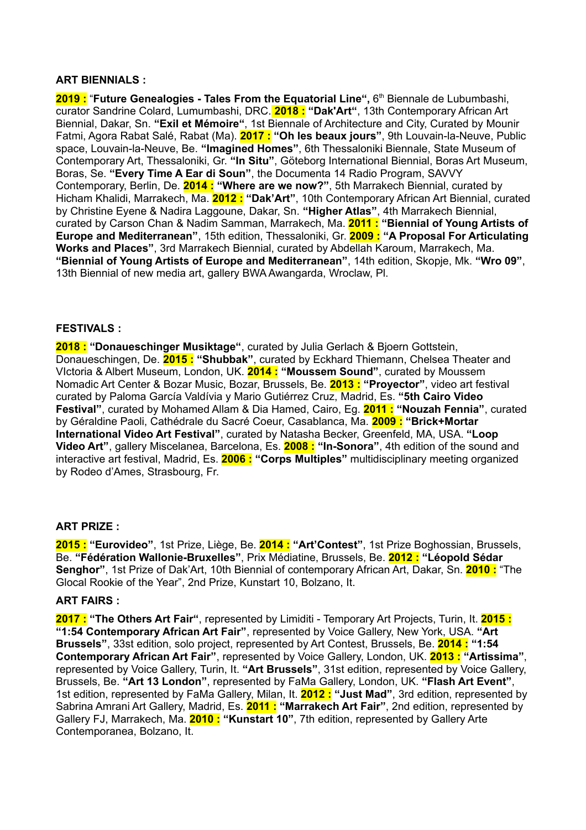## **ART BIENNIALS :**

**2019 :** "**Future Genealogies - Tales From the Equatorial Line",** 6 th Biennale de Lubumbashi, curator Sandrine Colard, Lumumbashi, DRC. **2018 : "Dak'Art"**, 13th Contemporary African Art Biennial, Dakar, Sn. **"Exil et Mémoire"**, 1st Biennale of Architecture and City, Curated by Mounir Fatmi, Agora Rabat Salé, Rabat (Ma). **2017 : "Oh les beaux jours"**, 9th Louvain-la-Neuve, Public space, Louvain-la-Neuve, Be. **"Imagined Homes"**, 6th Thessaloniki Biennale, State Museum of Contemporary Art, Thessaloniki, Gr. **"In Situ"**, Göteborg International Biennial, Boras Art Museum, Boras, Se. **"Every Time A Ear di Soun"**, the Documenta 14 Radio Program, SAVVY Contemporary, Berlin, De. **2014 : "Where are we now?"**, 5th Marrakech Biennial, curated by Hicham Khalidi, Marrakech, Ma. **2012 : "Dak'Art"**, 10th Contemporary African Art Biennial, curated by Christine Eyene & Nadira Laggoune, Dakar, Sn. **"Higher Atlas"**, 4th Marrakech Biennial, curated by Carson Chan & Nadim Samman, Marrakech, Ma. **2011 : "Biennial of Young Artists of Europe and Mediterranean"**, 15th edition, Thessaloniki, Gr. **2009 : "A Proposal For Articulating Works and Places"**, 3rd Marrakech Biennial, curated by Abdellah Karoum, Marrakech, Ma. **"Biennial of Young Artists of Europe and Mediterranean"**, 14th edition, Skopje, Mk. **"Wro 09"**, 13th Biennial of new media art, gallery BWA Awangarda, Wroclaw, Pl.

# **FESTIVALS :**

**2018 : "Donaueschinger Musiktage"**, curated by Julia Gerlach & Bjoern Gottstein, Donaueschingen, De. **2015 : "Shubbak"**, curated by Eckhard Thiemann, Chelsea Theater and VIctoria & Albert Museum, London, UK. **2014 : "Moussem Sound"**, curated by Moussem Nomadic Art Center & Bozar Music, Bozar, Brussels, Be. **2013 : "Proyector"**, video art festival curated by Paloma García Valdívia y Mario Gutiérrez Cruz, Madrid, Es. **"5th Cairo Video Festival"**, curated by Mohamed Allam & Dia Hamed, Cairo, Eg. **2011 : "Nouzah Fennia"**, curated by Géraldine Paoli, Cathédrale du Sacré Coeur, Casablanca, Ma. **2009 : "Brick+Mortar International Video Art Festival"**, curated by Natasha Becker, Greenfeld, MA, USA. **"Loop Video Art"**, gallery Miscelanea, Barcelona, Es. **2008 : "In-Sonora"**, 4th edition of the sound and interactive art festival, Madrid, Es. **2006 : "Corps Multiples"** multidisciplinary meeting organized by Rodeo d'Ames, Strasbourg, Fr.

### **ART PRIZE :**

**2015 : "Eurovideo"**, 1st Prize, Liège, Be. **2014 : "Art'Contest"**, 1st Prize Boghossian, Brussels, Be. **"Fédération Wallonie-Bruxelles"**, Prix Médiatine, Brussels, Be. **2012 : "Léopold Sédar Senghor"**, 1st Prize of Dak'Art, 10th Biennial of contemporary African Art, Dakar, Sn. **2010 :** "The Glocal Rookie of the Year", 2nd Prize, Kunstart 10, Bolzano, It.

### **ART FAIRS :**

**2017 : "The Others Art Fair"**, represented by Limiditi - Temporary Art Projects, Turin, It. **2015 : "1:54 Contemporary African Art Fair"**, represented by Voice Gallery, New York, USA. **"Art Brussels"**, 33st edition, solo project, represented by Art Contest, Brussels, Be. **2014 : "1:54 Contemporary African Art Fair"**, represented by Voice Gallery, London, UK. **2013 : "Artissima"**, represented by Voice Gallery, Turin, It. **"Art Brussels"**, 31st edition, represented by Voice Gallery, Brussels, Be. **"Art 13 London"**, represented by FaMa Gallery, London, UK. **"Flash Art Event"**, 1st edition, represented by FaMa Gallery, Milan, It. **2012 : "Just Mad"**, 3rd edition, represented by Sabrina Amrani Art Gallery, Madrid, Es. **2011 : "Marrakech Art Fair"**, 2nd edition, represented by Gallery FJ, Marrakech, Ma. **2010 : "Kunstart 10"**, 7th edition, represented by Gallery Arte Contemporanea, Bolzano, It.